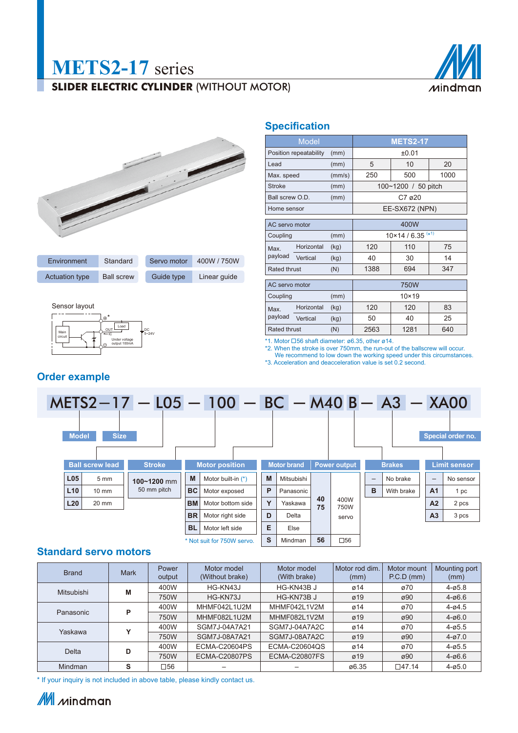# **METS2-17** series

## **SLIDER ELECTRIC CYLINDER (WITHOUT MOTOR)**





| Environment           | Standard          | Servo motor | 400W / 750W  |
|-----------------------|-------------------|-------------|--------------|
| <b>Actuation type</b> | <b>Ball screw</b> | Guide type  | Linear quide |

Sensor layout



## **Specification**

|                     | <b>Model</b>           |        | <b>METS2-17</b>                       |                     |      |  |  |  |  |
|---------------------|------------------------|--------|---------------------------------------|---------------------|------|--|--|--|--|
|                     | Position repeatability | (mm)   | ±0.01                                 |                     |      |  |  |  |  |
| Lead                |                        | (mm)   | 5                                     | 10                  |      |  |  |  |  |
| Max. speed          |                        | (mm/s) | 250                                   | 500                 | 1000 |  |  |  |  |
| <b>Stroke</b>       |                        | (mm)   |                                       | 100~1200 / 50 pitch |      |  |  |  |  |
| Ball screw O.D.     |                        | (mm)   |                                       | C7 ø20              |      |  |  |  |  |
| Home sensor         |                        |        | EE-SX672 (NPN)                        |                     |      |  |  |  |  |
| AC servo motor      |                        |        | 400W                                  |                     |      |  |  |  |  |
| Coupling            |                        | (mm)   | $10 \times 14 / 6.35$ <sup>(*1)</sup> |                     |      |  |  |  |  |
| Max.                | Horizontal             | (kg)   | 120                                   | 110                 | 75   |  |  |  |  |
| payload             | Vertical               | (kg)   | 40                                    | 30                  | 14   |  |  |  |  |
| <b>Rated thrust</b> |                        | (N)    | 1388<br>694<br>347                    |                     |      |  |  |  |  |
| AC servo motor      |                        |        | 750W                                  |                     |      |  |  |  |  |
| Coupling            |                        | (mm)   | $10 \times 19$                        |                     |      |  |  |  |  |
| Max.                | Horizontal             | (kg)   | 120                                   | 120                 |      |  |  |  |  |

\*1. Motor  $\Box$ 56 shaft diameter: ø6.35, other ø14.

\*2. When the stroke is over 750mm, the run-out of the ballscrew will occur.

We recommend to low down the working speed under this circumstances. \*3. Acceleration and deacceleration value is set 0.2 second.

Vertical (kg) 50 40 25 Rated thrust (N) 2563 1281 640



payload

### **Standard servo motors**

| <b>Brand</b> | <b>Mark</b> | Power<br>output | Motor model<br>(Without brake) | Motor model<br>(With brake) | Motor rod dim.<br>(mm) | Motor mount<br>P.C.D (mm) | Mounting port<br>(mm) |
|--------------|-------------|-----------------|--------------------------------|-----------------------------|------------------------|---------------------------|-----------------------|
| Mitsubishi   | 400W<br>M   |                 | HG-KN43J                       | HG-KN43B J                  | Ø14                    | ø70                       | $4 - 05.8$            |
|              |             | 750W            | HG-KN73J                       | HG-KN73B J                  | Ø19                    | ø90                       | $4 - 06.6$            |
| Panasonic    | Þ           | 400W            | MHMF042L1U2M                   | MHMF042L1V2M                | Ø14                    | ø70                       | $4 - 64.5$            |
|              |             | 750W            | MHMF082L1U2M                   | MHMF082L1V2M                | ø19                    | ø90                       | $4 - 06.0$            |
| v<br>Yaskawa |             | 400W            | SGM7J-04A7A21                  | SGM7J-04A7A2C               | Ø14                    | ø70                       | $4 - 05.5$            |
|              |             | 750W            | SGM7J-08A7A21                  | SGM7J-08A7A2C               | ø19                    | ø90                       | $4 - 07.0$            |
| 400W<br>D    |             |                 | <b>ECMA-C20604PS</b>           | <b>ECMA-C20604QS</b>        | Ø14                    | ø70                       | $4 - 05.5$            |
| Delta        |             | 750W            | <b>ECMA-C20807PS</b>           | ECMA-C20807FS               | ø19                    | ø90                       | $4 - 06.6$            |
| Mindman      | s           | □56             |                                |                             | ø6.35                  | $\Box$ 47.14              | $4 - 05.0$            |

\* If your inquiry is not included in above table, please kindly contact us.

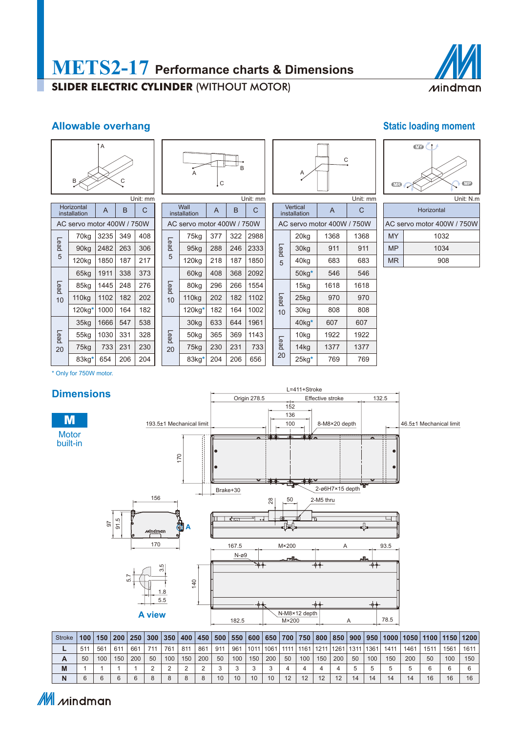

### **Allowable overhang Static loading moment Static loading moment**



| B<br>A<br>$\mathsf{C}^{\mathsf{c}}$ |
|-------------------------------------|
| I Init: mm                          |

Wall **A** B C AC servo motor 400W / 750W

> 75kg 377 322 2988 95kg | 288 | 246 | 2333 120kg 218 187 1850

> 60kg 408 368 2092 80kg | 296 | 266 | 1554 110kg | 202 | 182 | 1102 120kg**\*** 182 164 1002

30kg 633 644 1961 50kg 365 369 1143 75kg 230 231 733 83kg<sup>\*</sup> 204 206 656

Lead 5

Lead 10

Lead 20

| A                     | C        |
|-----------------------|----------|
|                       | Unit: mm |
| $\sim$<br>$\sim$<br>٠ |          |

|             | Vertical<br>installation | A                          | Ċ    |  |  |  |
|-------------|--------------------------|----------------------------|------|--|--|--|
|             |                          | AC servo motor 400W / 750W |      |  |  |  |
|             | 20 <sub>kg</sub>         | 1368                       | 1368 |  |  |  |
| Lead        | 30kg                     | 911                        | 911  |  |  |  |
| 40kg<br>5   | 683                      | 683                        |      |  |  |  |
|             | $50kg*$                  | 546                        | 546  |  |  |  |
|             | 15kg                     | 1618                       | 1618 |  |  |  |
| <b>Lead</b> | 25kg                     | 970                        | 970  |  |  |  |
| 10          | 30kg                     | 808                        | 808  |  |  |  |
|             | $40kg*$                  | 607                        | 607  |  |  |  |
|             | 10 <sub>kg</sub>         | 1922                       | 1922 |  |  |  |
| peaq        | 14kg                     | 1377                       | 1377 |  |  |  |
| 20          | $25$ kg $*$              | 769                        | 769  |  |  |  |

| $\blacksquare$ |           |
|----------------|-----------|
| $\sqrt{13}$    | WP        |
|                |           |
|                | Unit: N.m |

Horizontal AC servo motor 400W / 750W

MY 1032 MP 1034 MR 908

| Unit: mm                                        |                            |      |     |     |  |  |  |  |  |
|-------------------------------------------------|----------------------------|------|-----|-----|--|--|--|--|--|
|                                                 | Horizontal<br>installation | A    | B   | C   |  |  |  |  |  |
| AC servo motor 400W / 750W                      |                            |      |     |     |  |  |  |  |  |
|                                                 | 70kg                       | 3235 | 349 | 408 |  |  |  |  |  |
| Lead                                            | 90kg                       | 2482 | 263 | 306 |  |  |  |  |  |
| 5                                               | 120 <sub>kg</sub>          | 1850 | 187 | 217 |  |  |  |  |  |
| 65kg<br>Lead<br>85kg<br>110 <sub>kg</sub><br>10 | 1911                       | 338  | 373 |     |  |  |  |  |  |
|                                                 |                            | 1445 | 248 | 276 |  |  |  |  |  |
|                                                 | 1102                       | 182  | 202 |     |  |  |  |  |  |
| 120kg*                                          |                            | 1000 | 164 | 182 |  |  |  |  |  |
|                                                 | 35kg                       | 1666 | 547 | 538 |  |  |  |  |  |
| Lead                                            | 55kg                       | 1030 | 331 | 328 |  |  |  |  |  |
| 20                                              | 75kg                       | 733  | 231 | 230 |  |  |  |  |  |
|                                                 | 83ka*                      | 654  | 206 | 204 |  |  |  |  |  |

\* Only for 750W motor.



| Stroke | 100 <sup>1</sup> | 150   200 |     | 250 |     | $300$   350 |     |        |     |     |             |     |      |      |     |                           |    |     |      |      |      |      | 400   450   500   550   600   650   700   750   800   850   900   950   1000   1050   1100   1150   1200 |
|--------|------------------|-----------|-----|-----|-----|-------------|-----|--------|-----|-----|-------------|-----|------|------|-----|---------------------------|----|-----|------|------|------|------|----------------------------------------------------------------------------------------------------------|
|        | 51 <sup>1</sup>  | 561       | 611 | 661 | 711 | 761         | 811 | 861    | 911 | 961 | 1011 1061 1 |     | 1111 | 1161 |     | 1211   1261   1311   1361 |    |     | 1411 | 1461 | 1511 | 1561 | 1611                                                                                                     |
| А      | 50               | 100       | 150 | 200 | 50  | 100         | 150 | 200    | 50  | 100 | 150         | 200 | 50   | 100  | 150 | 200                       | 50 | 100 | 150  | 200  | 50   | 100  | 150                                                                                                      |
| M      |                  |           |     |     |     |             |     | $\sim$ |     |     |             |     |      |      |     |                           |    |     |      |      | ี    |      |                                                                                                          |
| N      |                  |           | 6   |     |     |             |     | 8      | 10  | 10  | 10          | 10  | 12   | 12   | 12  | 12                        | 14 | 14  | 14   | 14   | 16   | 16   | 16                                                                                                       |

## M *M*indman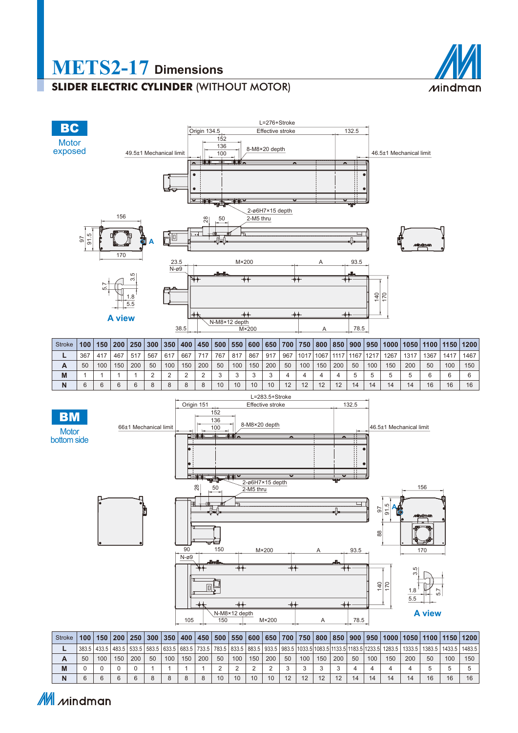

# **METS2-17 Dimensions**

## **SLIDER ELECTRIC CYLINDER** (WITHOUT MOTOR)



M Mindman